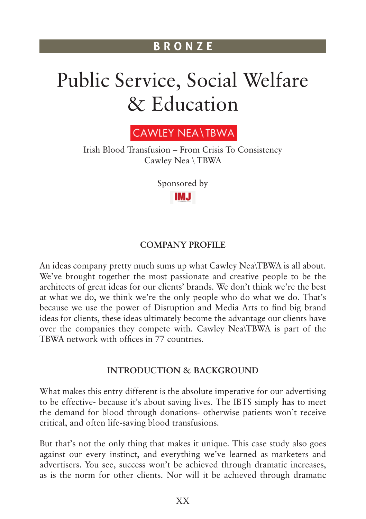# Public Service, Social Welfare & Education



Irish Blood Transfusion – From Crisis To Consistency Cawley Nea \ TBWA

> Sponsored byIMJ

#### **COMPANY PROFILE**

An ideas company pretty much sums up what Cawley Nea\TBWA is all about. We've brought together the most passionate and creative people to be the architects of great ideas for our clients' brands. We don't think we're the best at what we do, we think we're the only people who do what we do. That's because we use the power of Disruption and Media Arts to find big brand ideas for clients, these ideas ultimately become the advantage our clients have over the companies they compete with. Cawley Nea\TBWA is part of the TBWA network with offices in 77 countries.

## **INTRODUCTION & BACKGROUND**

What makes this entry different is the absolute imperative for our advertising to be effective- because it's about saving lives. The IBTS simply **has** to meet the demand for blood through donations- otherwise patients won't receive critical, and often life-saving blood transfusions.

But that's not the only thing that makes it unique. This case study also goes against our every instinct, and everything we've learned as marketers and advertisers. You see, success won't be achieved through dramatic increases, as is the norm for other clients. Nor will it be achieved through dramatic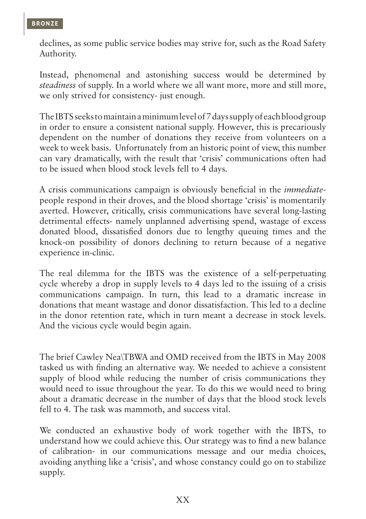declines, as some public service bodies may strive for, such as the Road Safety Authority.

Instead, phenomenal and astonishing success would be determined by *steadiness* of supply. In a world where we all want more, more and still more, we only strived for consistency- just enough.

The IBTS seeks to maintain a minimum level of 7 days supply of each blood group in order to ensure a consistent national supply. However, this is precariously dependent on the number of donations they receive from volunteers on a week to week basis. Unfortunately from an historic point of view, this number can vary dramatically, with the result that 'crisis' communications often had to be issued when blood stock levels fell to 4 days.

A crisis communications campaign is obviously beneficial in the *immediate*people respond in their droves, and the blood shortage 'crisis' is momentarily averted. However, critically, crisis communications have several long-lasting detrimental effects- namely unplanned advertising spend, wastage of excess donated blood, dissatisfied donors due to lengthy queuing times and the knock-on possibility of donors declining to return because of a negative experience in-clinic.

The real dilemma for the IBTS was the existence of a self-perpetuating cycle whereby a drop in supply levels to 4 days led to the issuing of a crisis communications campaign. In turn, this lead to a dramatic increase in donations that meant wastage and donor dissatisfaction. This led to a decline in the donor retention rate, which in turn meant a decrease in stock levels. And the vicious cycle would begin again.

The brief Cawley Nea\TBWA and OMD received from the IBTS in May 2008 tasked us with finding an alternative way. We needed to achieve a consistent supply of blood while reducing the number of crisis communications they would need to issue throughout the year. To do this we would need to bring about a dramatic decrease in the number of days that the blood stock levels fell to 4. The task was mammoth, and success vital.

We conducted an exhaustive body of work together with the IBTS, to understand how we could achieve this. Our strategy was to find a new balance of calibration- in our communications message and our media choices, avoiding anything like a 'crisis', and whose constancy could go on to stabilize supply.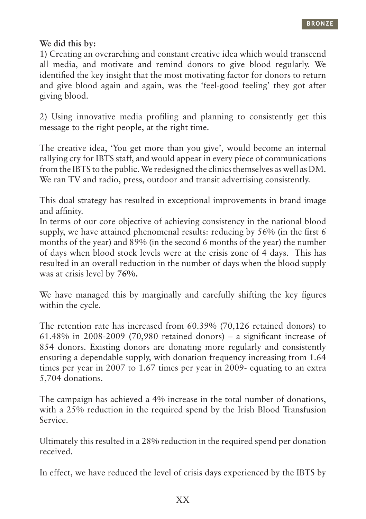## **We did this by:**

1) Creating an overarching and constant creative idea which would transcend all media, and motivate and remind donors to give blood regularly. We identified the key insight that the most motivating factor for donors to return and give blood again and again, was the 'feel-good feeling' they got after giving blood.

2) Using innovative media profiling and planning to consistently get this message to the right people, at the right time.

The creative idea, 'You get more than you give', would become an internal rallying cry for IBTS staff, and would appear in every piece of communications from the IBTS to the public. We redesigned the clinics themselves as well as DM. We ran TV and radio, press, outdoor and transit advertising consistently.

This dual strategy has resulted in exceptional improvements in brand image and affinity.

In terms of our core objective of achieving consistency in the national blood supply, we have attained phenomenal results: reducing by 56% (in the first 6 months of the year) and 89% (in the second 6 months of the year) the number of days when blood stock levels were at the crisis zone of 4 days. This has resulted in an overall reduction in the number of days when the blood supply was at crisis level by **76%.**

We have managed this by marginally and carefully shifting the key figures within the cycle.

The retention rate has increased from 60.39% (70,126 retained donors) to 61.48% in 2008-2009 (70,980 retained donors) – a significant increase of 854 donors. Existing donors are donating more regularly and consistently ensuring a dependable supply, with donation frequency increasing from 1.64 times per year in 2007 to 1.67 times per year in 2009- equating to an extra 5,704 donations.

The campaign has achieved a 4% increase in the total number of donations, with a 25% reduction in the required spend by the Irish Blood Transfusion Service.

Ultimately this resulted in a 28% reduction in the required spend per donation received.

In effect, we have reduced the level of crisis days experienced by the IBTS by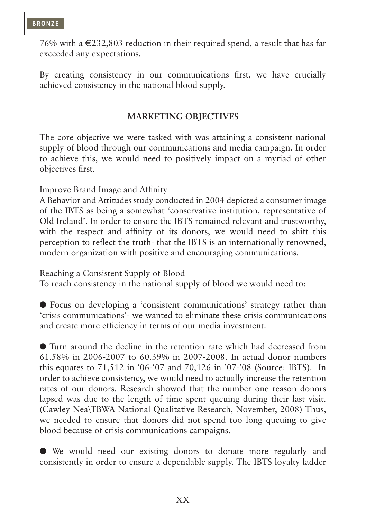76% with a  $\in 232,803$  reduction in their required spend, a result that has far exceeded any expectations.

By creating consistency in our communications first, we have crucially achieved consistency in the national blood supply.

#### **MARKETING OBJECTIVES**

The core objective we were tasked with was attaining a consistent national supply of blood through our communications and media campaign. In order to achieve this, we would need to positively impact on a myriad of other objectives first.

Improve Brand Image and Affinity

A Behavior and Attitudes study conducted in 2004 depicted a consumer image of the IBTS as being a somewhat 'conservative institution, representative of Old Ireland'. In order to ensure the IBTS remained relevant and trustworthy, with the respect and affinity of its donors, we would need to shift this perception to reflect the truth- that the IBTS is an internationally renowned, modern organization with positive and encouraging communications.

Reaching a Consistent Supply of Blood

To reach consistency in the national supply of blood we would need to:

l Focus on developing a 'consistent communications' strategy rather than 'crisis communications'- we wanted to eliminate these crisis communications and create more efficiency in terms of our media investment.

l Turn around the decline in the retention rate which had decreased from 61.58% in 2006-2007 to 60.39% in 2007-2008. In actual donor numbers this equates to 71,512 in '06-'07 and 70,126 in '07-'08 (Source: IBTS). In order to achieve consistency, we would need to actually increase the retention rates of our donors. Research showed that the number one reason donors lapsed was due to the length of time spent queuing during their last visit. (Cawley Nea\TBWA National Qualitative Research, November, 2008) Thus, we needed to ensure that donors did not spend too long queuing to give blood because of crisis communications campaigns.

l We would need our existing donors to donate more regularly and consistently in order to ensure a dependable supply. The IBTS loyalty ladder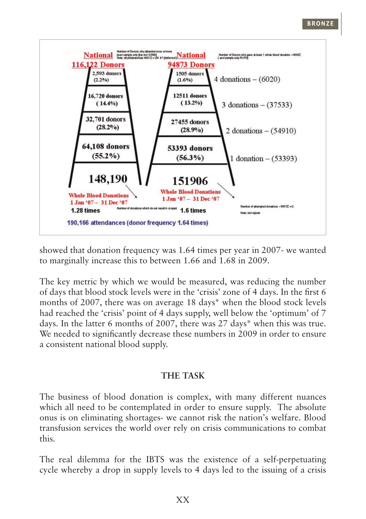

showed that donation frequency was 1.64 times per year in 2007- we wanted to marginally increase this to between 1.66 and 1.68 in 2009.

The key metric by which we would be measured, was reducing the number of days that blood stock levels were in the 'crisis' zone of 4 days. In the first 6 months of 2007, there was on average 18 days\* when the blood stock levels had reached the 'crisis' point of 4 days supply, well below the 'optimum' of 7 days. In the latter 6 months of 2007, there was 27 days\* when this was true. We needed to significantly decrease these numbers in 2009 in order to ensure a consistent national blood supply.

#### **THE TASK**

The business of blood donation is complex, with many different nuances which all need to be contemplated in order to ensure supply. The absolute onus is on eliminating shortages- we cannot risk the nation's welfare. Blood transfusion services the world over rely on crisis communications to combat this.

The real dilemma for the IBTS was the existence of a self-perpetuating cycle whereby a drop in supply levels to 4 days led to the issuing of a crisis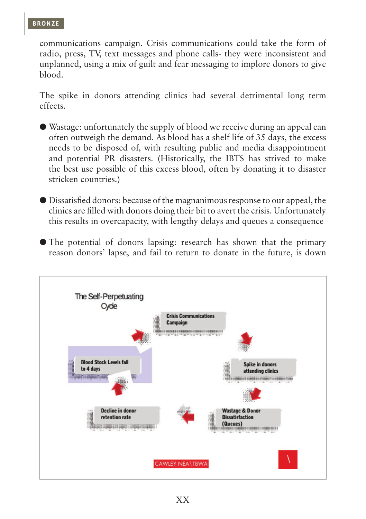communications campaign. Crisis communications could take the form of radio, press, TV, text messages and phone calls- they were inconsistent and unplanned, using a mix of guilt and fear messaging to implore donors to give blood.

The spike in donors attending clinics had several detrimental long term effects.

- l Wastage: unfortunately the supply of blood we receive during an appeal can often outweigh the demand. As blood has a shelf life of 35 days, the excess needs to be disposed of, with resulting public and media disappointment and potential PR disasters. (Historically, the IBTS has strived to make the best use possible of this excess blood, often by donating it to disaster stricken countries.)
- l Dissatisfied donors: because of the magnanimous response to our appeal, the clinics are filled with donors doing their bit to avert the crisis. Unfortunately this results in overcapacity, with lengthy delays and queues a consequence
- l The potential of donors lapsing: research has shown that the primary reason donors' lapse, and fail to return to donate in the future, is down

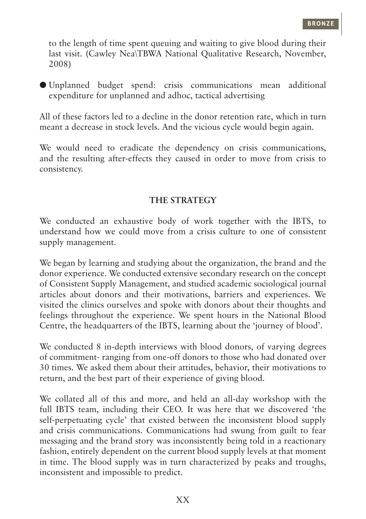to the length of time spent queuing and waiting to give blood during their last visit. (Cawley Nea\TBWA National Qualitative Research, November, 2008)

l Unplanned budget spend: crisis communications mean additional expenditure for unplanned and adhoc, tactical advertising

All of these factors led to a decline in the donor retention rate, which in turn meant a decrease in stock levels. And the vicious cycle would begin again.

We would need to eradicate the dependency on crisis communications, and the resulting after-effects they caused in order to move from crisis to consistency.

## **THE STRATEGY**

We conducted an exhaustive body of work together with the IBTS, to understand how we could move from a crisis culture to one of consistent supply management.

We began by learning and studying about the organization, the brand and the donor experience. We conducted extensive secondary research on the concept of Consistent Supply Management, and studied academic sociological journal articles about donors and their motivations, barriers and experiences. We visited the clinics ourselves and spoke with donors about their thoughts and feelings throughout the experience. We spent hours in the National Blood Centre, the headquarters of the IBTS, learning about the 'journey of blood'.

We conducted 8 in-depth interviews with blood donors, of varying degrees of commitment- ranging from one-off donors to those who had donated over 30 times. We asked them about their attitudes, behavior, their motivations to return, and the best part of their experience of giving blood.

We collated all of this and more, and held an all-day workshop with the full IBTS team, including their CEO. It was here that we discovered 'the self-perpetuating cycle' that existed between the inconsistent blood supply and crisis communications. Communications had swung from guilt to fear messaging and the brand story was inconsistently being told in a reactionary fashion, entirely dependent on the current blood supply levels at that moment in time. The blood supply was in turn characterized by peaks and troughs, inconsistent and impossible to predict.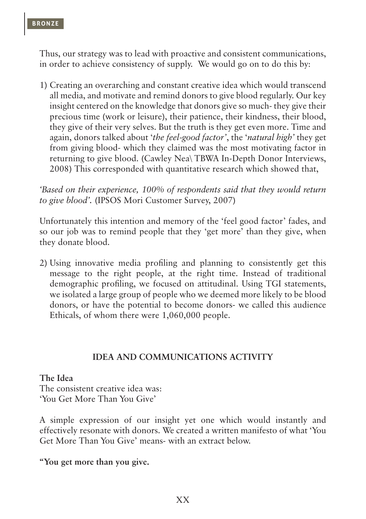Thus, our strategy was to lead with proactive and consistent communications, in order to achieve consistency of supply. We would go on to do this by:

1) Creating an overarching and constant creative idea which would transcend all media, and motivate and remind donors to give blood regularly. Our key insight centered on the knowledge that donors give so much- they give their precious time (work or leisure), their patience, their kindness, their blood, they give of their very selves. But the truth is they get even more. Time and again, donors talked about '*the feel-good factor'*, the '*natural high'* they get from giving blood- which they claimed was the most motivating factor in returning to give blood. (Cawley Nea\ TBWA In-Depth Donor Interviews, 2008) This corresponded with quantitative research which showed that,

*'Based on their experience, 100% of respondents said that they would return to give blood'.* (IPSOS Mori Customer Survey, 2007)

Unfortunately this intention and memory of the 'feel good factor' fades, and so our job was to remind people that they 'get more' than they give, when they donate blood.

2) Using innovative media profiling and planning to consistently get this message to the right people, at the right time. Instead of traditional demographic profiling, we focused on attitudinal. Using TGI statements, we isolated a large group of people who we deemed more likely to be blood donors, or have the potential to become donors- we called this audience Ethicals, of whom there were 1,060,000 people.

#### **IDEA AND COMMUNICATIONS ACTIVITY**

#### **The Idea**

The consistent creative idea was: 'You Get More Than You Give'

A simple expression of our insight yet one which would instantly and effectively resonate with donors. We created a written manifesto of what 'You Get More Than You Give' means- with an extract below.

**"You get more than you give.**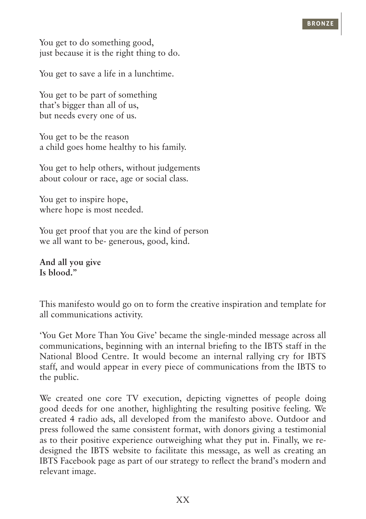You get to do something good, just because it is the right thing to do.

You get to save a life in a lunchtime.

You get to be part of something that's bigger than all of us, but needs every one of us.

You get to be the reason a child goes home healthy to his family.

You get to help others, without judgements about colour or race, age or social class.

You get to inspire hope. where hope is most needed.

You get proof that you are the kind of person we all want to be- generous, good, kind.

**And all you give Is blood."**

This manifesto would go on to form the creative inspiration and template for all communications activity.

'You Get More Than You Give' became the single-minded message across all communications, beginning with an internal briefing to the IBTS staff in the National Blood Centre. It would become an internal rallying cry for IBTS staff, and would appear in every piece of communications from the IBTS to the public.

We created one core TV execution, depicting vignettes of people doing good deeds for one another, highlighting the resulting positive feeling. We created 4 radio ads, all developed from the manifesto above. Outdoor and press followed the same consistent format, with donors giving a testimonial as to their positive experience outweighing what they put in. Finally, we redesigned the IBTS website to facilitate this message, as well as creating an IBTS Facebook page as part of our strategy to reflect the brand's modern and relevant image.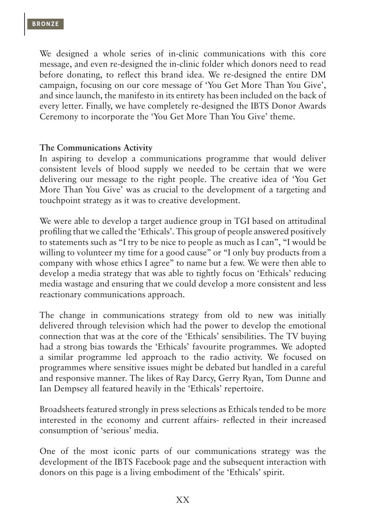We designed a whole series of in-clinic communications with this core message, and even re-designed the in-clinic folder which donors need to read before donating, to reflect this brand idea. We re-designed the entire DM campaign, focusing on our core message of 'You Get More Than You Give', and since launch, the manifesto in its entirety has been included on the back of every letter. Finally, we have completely re-designed the IBTS Donor Awards Ceremony to incorporate the 'You Get More Than You Give' theme.

#### **The Communications Activity**

In aspiring to develop a communications programme that would deliver consistent levels of blood supply we needed to be certain that we were delivering our message to the right people. The creative idea of 'You Get More Than You Give' was as crucial to the development of a targeting and touchpoint strategy as it was to creative development.

We were able to develop a target audience group in TGI based on attitudinal profiling that we called the 'Ethicals'. This group of people answered positively to statements such as "I try to be nice to people as much as I can", "I would be willing to volunteer my time for a good cause" or "I only buy products from a company with whose ethics I agree" to name but a few. We were then able to develop a media strategy that was able to tightly focus on 'Ethicals' reducing media wastage and ensuring that we could develop a more consistent and less reactionary communications approach.

The change in communications strategy from old to new was initially delivered through television which had the power to develop the emotional connection that was at the core of the 'Ethicals' sensibilities. The TV buying had a strong bias towards the 'Ethicals' favourite programmes. We adopted a similar programme led approach to the radio activity. We focused on programmes where sensitive issues might be debated but handled in a careful and responsive manner. The likes of Ray Darcy, Gerry Ryan, Tom Dunne and Ian Dempsey all featured heavily in the 'Ethicals' repertoire.

Broadsheets featured strongly in press selections as Ethicals tended to be more interested in the economy and current affairs- reflected in their increased consumption of 'serious' media.

One of the most iconic parts of our communications strategy was the development of the IBTS Facebook page and the subsequent interaction with donors on this page is a living embodiment of the 'Ethicals' spirit.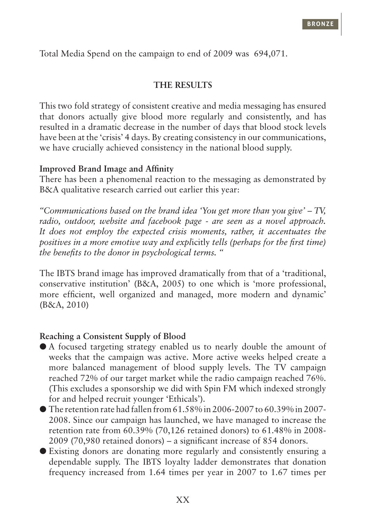Total Media Spend on the campaign to end of 2009 was  $$94,071$ .

#### **THE RESULTS**

This two fold strategy of consistent creative and media messaging has ensured that donors actually give blood more regularly and consistently, and has resulted in a dramatic decrease in the number of days that blood stock levels have been at the 'crisis' 4 days. By creating consistency in our communications, we have crucially achieved consistency in the national blood supply.

#### **Improved Brand Image and Affinity**

There has been a phenomenal reaction to the messaging as demonstrated by B&A qualitative research carried out earlier this year:

*"Communications based on the brand idea 'You get more than you give' – TV, radio, outdoor, website and facebook page - are seen as a novel approach. It does not employ the expected crisis moments, rather, it accentuates the positives in a more emotive way and expl*icitly *tells (perhaps for the first time) the benefits to the donor in psychological terms. "*

The IBTS brand image has improved dramatically from that of a 'traditional, conservative institution' (B&A, 2005) to one which is 'more professional, more efficient, well organized and managed, more modern and dynamic' (B&A, 2010)

## **Reaching a Consistent Supply of Blood**

- l A focused targeting strategy enabled us to nearly double the amount of weeks that the campaign was active. More active weeks helped create a more balanced management of blood supply levels. The TV campaign reached 72% of our target market while the radio campaign reached 76%. (This excludes a sponsorship we did with Spin FM which indexed strongly for and helped recruit younger 'Ethicals').
- $\bullet$  The retention rate had fallen from 61.58% in 2006-2007 to 60.39% in 2007-2008. Since our campaign has launched, we have managed to increase the retention rate from 60.39% (70,126 retained donors) to 61.48% in 2008- 2009 (70,980 retained donors) – a significant increase of 854 donors.
- l Existing donors are donating more regularly and consistently ensuring a dependable supply. The IBTS loyalty ladder demonstrates that donation frequency increased from 1.64 times per year in 2007 to 1.67 times per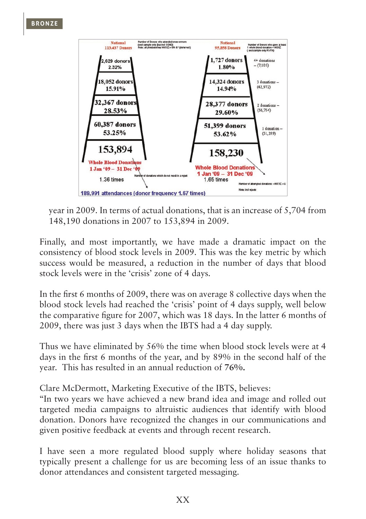

year in 2009. In terms of actual donations, that is an increase of 5,704 from 148,190 donations in 2007 to 153,894 in 2009.

Finally, and most importantly, we have made a dramatic impact on the consistency of blood stock levels in 2009. This was the key metric by which success would be measured, a reduction in the number of days that blood stock levels were in the 'crisis' zone of 4 days.

In the first 6 months of 2009, there was on average 8 collective days when the blood stock levels had reached the 'crisis' point of 4 days supply, well below the comparative figure for 2007, which was 18 days. In the latter 6 months of 2009, there was just 3 days when the IBTS had a 4 day supply.

Thus we have eliminated by 56% the time when blood stock levels were at 4 days in the first 6 months of the year, and by 89% in the second half of the year. This has resulted in an annual reduction of **76%.**

Clare McDermott, Marketing Executive of the IBTS, believes:

"In two years we have achieved a new brand idea and image and rolled out targeted media campaigns to altruistic audiences that identify with blood donation. Donors have recognized the changes in our communications and given positive feedback at events and through recent research.

I have seen a more regulated blood supply where holiday seasons that typically present a challenge for us are becoming less of an issue thanks to donor attendances and consistent targeted messaging.